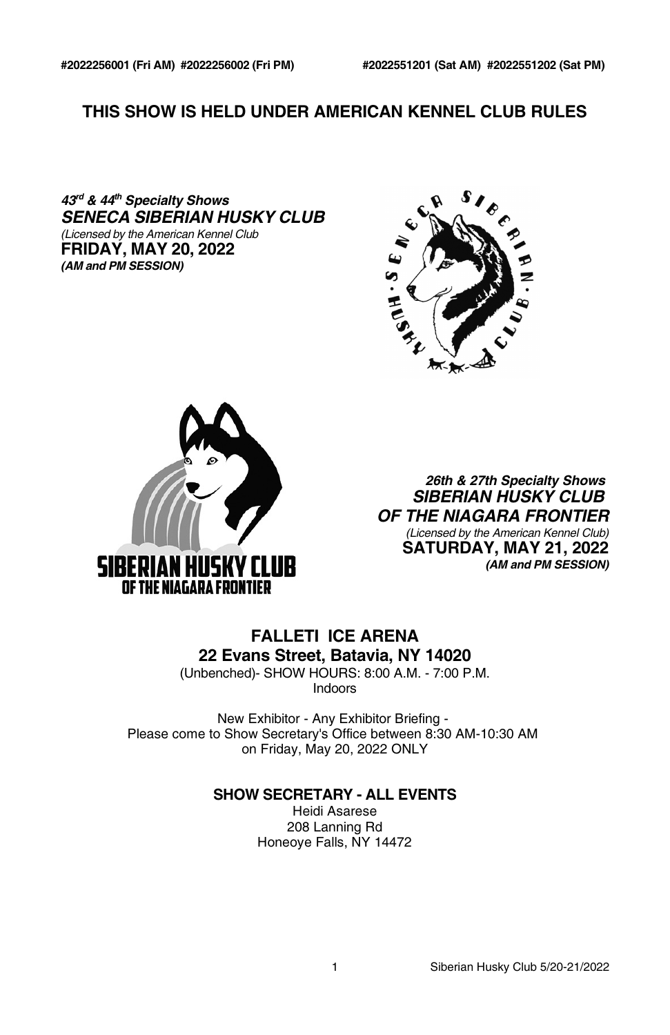# **THIS SHOW IS HELD UNDER AMERICAN KENNEL CLUB RULES**

*43 rd & 44 th Specialty Shows SENECA SIBERIAN HUSKY CLUB (Licensed by the American Kennel Club* **FRIDAY, MAY 20, 2022** *(AM and PM SESSION)*





*26th & 27th Specialty Shows SIBERIAN HUSKY CLUB OF THE NIAGARA FRONTIER (Licensed by the American Kennel Club)* **SATURDAY, MAY 21, 2022** *(AM and PM SESSION)*

# **FALLETI ICE ARENA 22 Evans Street, Batavia, NY 14020**

(Unbenched)- SHOW HOURS: 8:00 A.M. - 7:00 P.M. Indoors

New Exhibitor - Any Exhibitor Briefing - Please come to Show Secretary's Office between 8:30 AM-10:30 AM on Friday, May 20, 2022 ONLY

# **SHOW SECRETARY - ALL EVENTS**

Heidi Asarese 208 Lanning Rd Honeoye Falls, NY 14472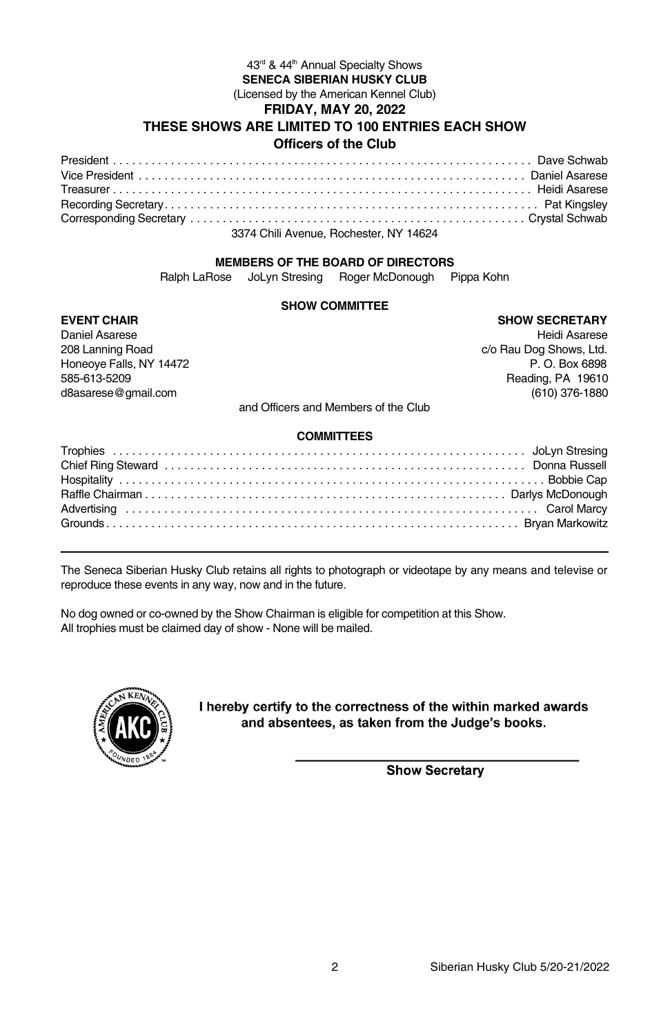#### 43<sup>rd</sup> & 44<sup>th</sup> Annual Specialty Shows **SENECA SIBERIAN HUSKY CLUB** (Licensed by the American Kennel Club) **FRIDAY, MAY 20, 2022 THESE SHOWS ARE LIMITED TO 100 ENTRIES EACH SHOW Officers of the Club**

| 3374 Chili Avenue, Rochester, NY 14624 |  |
|----------------------------------------|--|

#### **MEMBERS OF THE BOARD OF DIRECTORS**

Ralph LaRose JoLyn Stresing Roger McDonough Pippa Kohn

#### **SHOW COMMITTEE**

## **EVENT CHAIR SHOW SECRETARY**

| Daniel Asarese          |  | Heidi Asarese           |
|-------------------------|--|-------------------------|
| 208 Lanning Road        |  | c/o Rau Dog Shows, Ltd. |
| Honeove Falls, NY 14472 |  | P. O. Box 6898          |
| 585-613-5209            |  | Reading, PA 19610       |
| d8asarese@gmail.com     |  | (610) 376-1880          |
|                         |  |                         |

and Officers and Members of the Club

#### **COMMITTEES**

The Seneca Siberian Husky Club retains all rights to photograph or videotape by any means and televise or reproduce these events in any way, now and in the future.

No dog owned or co-owned by the Show Chairman is eligible for competition at this Show. All trophies must be claimed day of show - None will be mailed.



I hereby certify to the correctness of the within marked awards and absentees, as taken from the Judge's books.

**Show Secretary**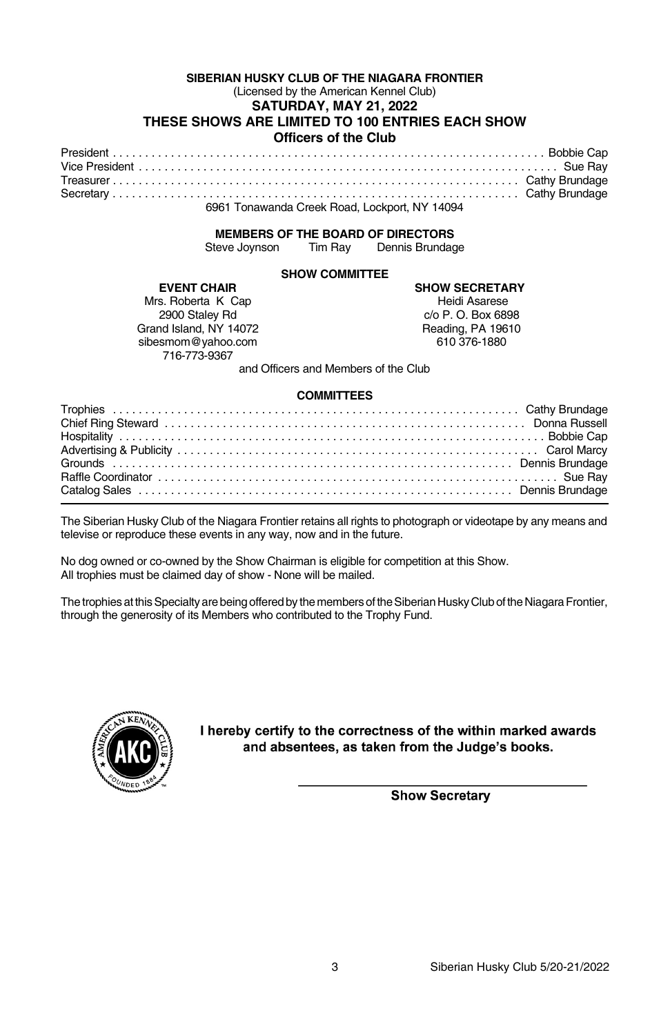#### **SIBERIAN HUSKY CLUB OF THE NIAGARA FRONTIER** (Licensed by the American Kennel Club) **SATURDAY, MAY 21, 2022 THESE SHOWS ARE LIMITED TO 100 ENTRIES EACH SHOW Officers of the Club**

| 6961 Tonawanda Creek Road. Lockport. NY 14094 |  |  |  |  |  |  |
|-----------------------------------------------|--|--|--|--|--|--|

# **MEMBERS OF THE BOARD OF DIRECTORS**<br>Steve Joynson Tim Ray Dennis Brundad

Tim Ray Dennis Brundage

#### **SHOW COMMITTEE**

Mrs. Roberta K Cap<br>2900 Staley Rd Grand Island, NY 14072 Reading, PA 196<br>sibesmom@vahoo.com 610 376-1880 sibesmom@yahoo.com 716-773-9367

**EVENT CHAIR SHOW SECRETARY** c/o P. O. Box 6898<br>Reading, PA 19610

and Officers and Members of the Club

#### **COMMITTEES**

The Siberian Husky Club of the Niagara Frontier retains all rights to photograph or videotape by any means and televise or reproduce these events in any way, now and in the future.

No dog owned or co-owned by the Show Chairman is eligible for competition at this Show. All trophies must be claimed day of show - None will be mailed.

The trophies at this Specialty are being offered by the members of the Siberian Husky Club of the Niagara Frontier, through the generosity of its Members who contributed to the Trophy Fund.



I hereby certify to the correctness of the within marked awards and absentees, as taken from the Judge's books.

**Show Secretary**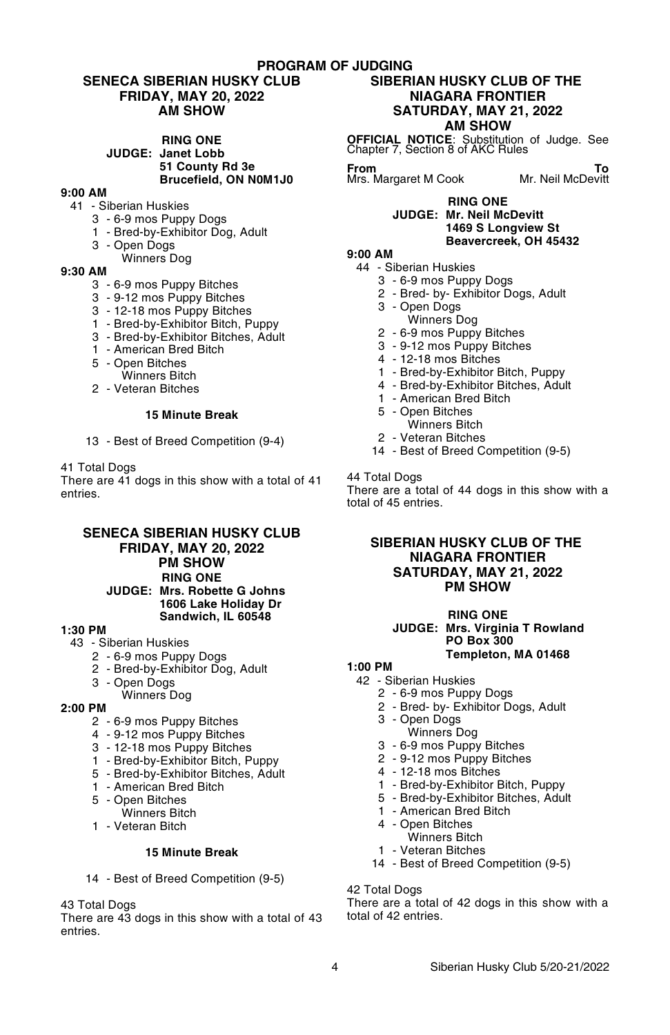#### **PROGRAM OF JUDGING**

#### **SENECA SIBERIAN HUSKY CLUB FRIDAY, MAY 20, 2022 AM SHOW**

**RING ONE JUDGE: Janet Lobb 51 County Rd 3e Brucefield, ON N0M1J0**

#### **9:00 AM**

- 41 Siberian Huskies
	- 3 6-9 mos Puppy Dogs
	- 1 Bred-by-Exhibitor Dog, Adult
	- 3 Open Dogs
	- Winners Dog

#### **9:30 AM**

- 3 6-9 mos Puppy Bitches
- 3 9-12 mos Puppy Bitches
- 3 12-18 mos Puppy Bitches
- 1 Bred-by-Exhibitor Bitch, Puppy
- 3 Bred-by-Exhibitor Bitches, Adult
- 1 American Bred Bitch
- 5 Open Bitches
	- Winners Bitch
- 2 Veteran Bitches

#### **15 Minute Break**

13 - Best of Breed Competition (9-4)

#### 41 Total Dogs

There are 41 dogs in this show with a total of 41 entries.

#### **SENECA SIBERIAN HUSKY CLUB FRIDAY, MAY 20, 2022 PM SHOW RING ONE JUDGE: Mrs. Robette G Johns 1606 Lake Holiday Dr Sandwich, IL 60548**

#### **1:30 PM**

- 43 Siberian Huskies
	- 2 6-9 mos Puppy Dogs
	- 2 Bred-by-Exhibitor Dog, Adult
	- 3 Open Dogs
	- Winners Dog

#### **2:00 PM**

- 2 6-9 mos Puppy Bitches
- 4 9-12 mos Puppy Bitches
- 3 12-18 mos Puppy Bitches
- 1 Bred-by-Exhibitor Bitch, Puppy
- 5 Bred-by-Exhibitor Bitches, Adult
- 1 American Bred Bitch
- 5 Open Bitches
- Winners Bitch
- 1 Veteran Bitch

#### **15 Minute Break**

14 - Best of Breed Competition (9-5)

43 Total Dogs

There are 43 dogs in this show with a total of 43 entries.

#### **SIBERIAN HUSKY CLUB OF THE NIAGARA FRONTIER SATURDAY, MAY 21, 2022 AM SHOW**

**OFFICIAL NOTICE**: Substitution of Judge. See Chapter 7, Section 8 of AKC Rules

**From To** Mrs. Margaret M Cook Mr. Neil McDevitt

#### **RING ONE JUDGE: Mr. Neil McDevitt 1469 S Longview St Beavercreek, OH 45432**

#### **9:00 AM**

- 44 Siberian Huskies
	- 3 6-9 mos Puppy Dogs
	- 2 Bred- by- Exhibitor Dogs, Adult
	- 3 Open Dogs
	- Winners Dog
	- 2 6-9 mos Puppy Bitches
	- 3 9-12 mos Puppy Bitches
	- 4 12-18 mos Bitches
	- 1 Bred-by-Exhibitor Bitch, Puppy
	- 4 Bred-by-Exhibitor Bitches, Adult
	- 1 American Bred Bitch
	- 5 Open Bitches
		- Winners Bitch
	- 2 Veteran Bitches
	- 14 Best of Breed Competition (9-5)

## 44 Total Dogs

There are a total of 44 dogs in this show with a total of 45 entries.

#### **SIBERIAN HUSKY CLUB OF THE NIAGARA FRONTIER SATURDAY, MAY 21, 2022 PM SHOW**

#### **RING ONE**

#### **JUDGE: Mrs. Virginia T Rowland PO Box 300 Templeton, MA 01468**

#### **1:00 PM**

- 42 Siberian Huskies
	- 2 6-9 mos Puppy Dogs
		- 2 Bred- by- Exhibitor Dogs, Adult
		- 3 Open Dogs
		- Winners Dog
		- 3 6-9 mos Puppy Bitches
		- 2 9-12 mos Puppy Bitches
		- 4 12-18 mos Bitches
		- 1 Bred-by-Exhibitor Bitch, Puppy
	- 5 Bred-by-Exhibitor Bitches, Adult
	- 1 American Bred Bitch
	- 4 Open Bitches
		- Winners Bitch
	- 1 Veteran Bitches
	- 14 Best of Breed Competition (9-5)

#### 42 Total Dogs

There are a total of 42 dogs in this show with a total of 42 entries.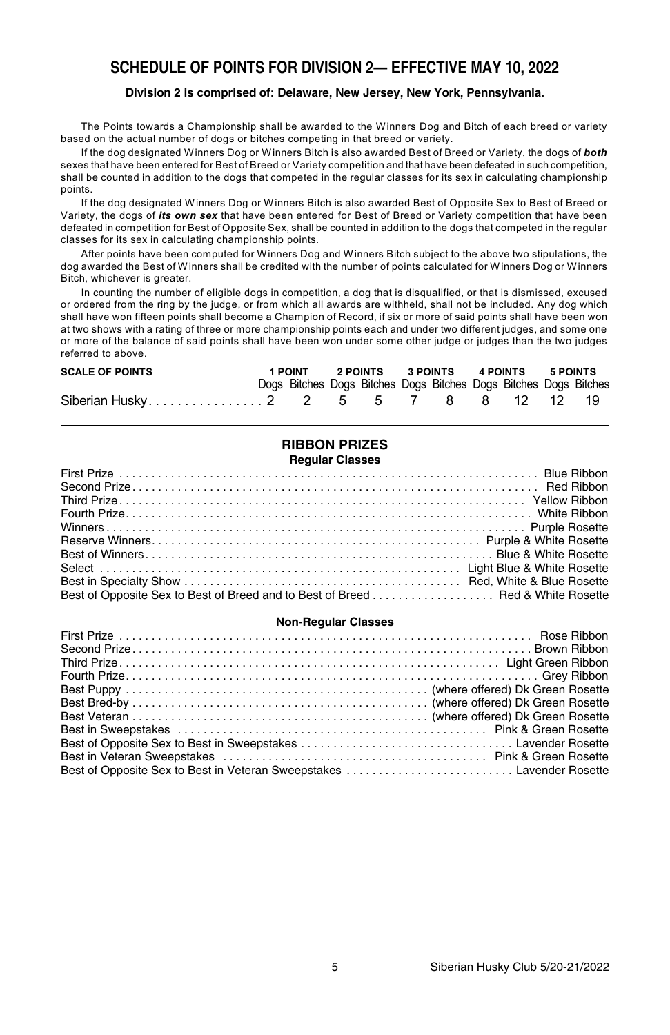# **SCHEDULE OF POINTS FOR DIVISION 2— EFFECTIVE MAY 10, 2022**

#### **Division 2 is comprised of: Delaware, New Jersey, New York, Pennsylvania.**

The Points towards a Championship shall be awarded to the Winners Dog and Bitch of each breed or variety based on the actual number of dogs or bitches competing in that breed or variety.

If the dog designated Winners Dog or Winners Bitch is also awarded Best of Breed or Variety, the dogs of *both* sexes that have been entered for Best of Breed or Variety competition and that have been defeated in such competition, shall be counted in addition to the dogs that competed in the regular classes for its sex in calculating championship points.

If the dog designated Winners Dog or Winners Bitch is also awarded Best of Opposite Sex to Best of Breed or Variety, the dogs of *its own sex* that have been entered for Best of Breed or Variety competition that have been defeated in competition for Best of Opposite Sex, shall be counted in addition to the dogs that competed in the regular classes for its sex in calculating championship points.

After points have been computed for Winners Dog and Winners Bitch subject to the above two stipulations, the dog awarded the Best of Winners shall be credited with the number of points calculated for Winners Dog or Winners Bitch, whichever is greater.

In counting the number of eligible dogs in competition, a dog that is disqualified, or that is dismissed, excused or ordered from the ring by the judge, or from which all awards are withheld, shall not be included. Any dog which shall have won fifteen points shall become a Champion of Record, if six or more of said points shall have been won at two shows with a rating of three or more championship points each and under two different judges, and some one or more of the balance of said points shall have been won under some other judge or judges than the two judges referred to above.

| <b>SCALE OF POINTS</b> |  |  | 1 POINT 2 POINTS 3 POINTS 4 POINTS 5 POINTS |                                                                  |  |  |  |  |  |  |
|------------------------|--|--|---------------------------------------------|------------------------------------------------------------------|--|--|--|--|--|--|
|                        |  |  |                                             | Dogs Bitches Dogs Bitches Dogs Bitches Dogs Bitches Dogs Bitches |  |  |  |  |  |  |
|                        |  |  |                                             |                                                                  |  |  |  |  |  |  |

# **RIBBON PRIZES**

#### **Regular Classes**

| Best of Opposite Sex to Best of Breed and to Best of Breed  Red & White Rosette |
|---------------------------------------------------------------------------------|

#### **Non-Regular Classes**

| Best of Opposite Sex to Best in Veteran Sweepstakes  Lavender Rosette |  |
|-----------------------------------------------------------------------|--|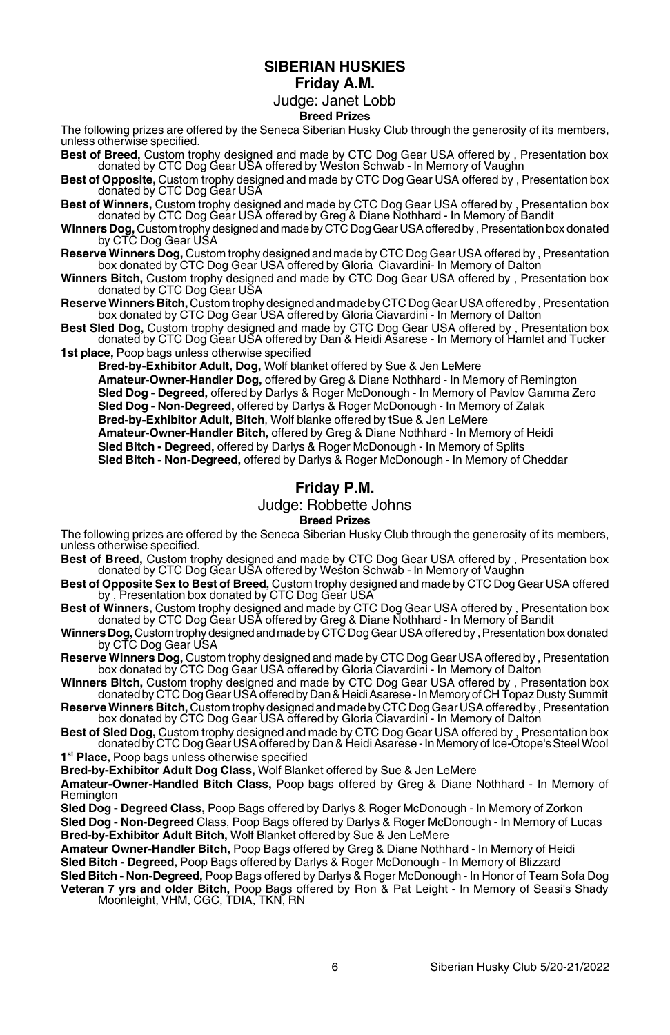## **SIBERIAN HUSKIES Friday A.M.**

#### Judge: Janet Lobb **Breed Prizes**

The following prizes are offered by the Seneca Siberian Husky Club through the generosity of its members, unless otherwise specified.

**Best of Breed,** Custom trophy designed and made by CTC Dog Gear USA offered by , Presentation box donated by CTC Dog Gear USA offered by Weston Schwab - In Memory of Vaughn

**Best of Opposite,** Custom trophy designed and made by CTC Dog Gear USA offered by , Presentation box donated by CTC Dog Gear USA

**Best of Winners,** Custom trophy designed and made by CTC Dog Gear USA offered by , Presentation box donated by CTC Dog Gear USA offered by Greg & Diane Nothhard - In Memory of Bandit

**Winners Dog,** Custom trophydesignedandmadebyCTCDogGearUSAofferedby ,Presentationbox donated by CTC Dog Gear USA

**Reserve Winners Dog,** Custom trophy designed and made by CTC Dog Gear USA offered by , Presentation box donated by CTC Dog Gear USA offered by Gloria Ciavardini- In Memory of Dalton

**Winners Bitch,** Custom trophy designed and made by CTC Dog Gear USA offered by , Presentation box donated by CTC Dog Gear USA

**Reserve Winners Bitch,** Custom trophy designed and made by CTC Dog Gear USA offered by , Presentation box donated by CTC Dog Gear USA offered by Gloria Ciavardini - In Memory of Dalton

**Best Sled Dog,** Custom trophy designed and made by CTC Dog Gear USA offered by , Presentation box donated by CTC Dog Gear USA offered by Dan & Heidi Asarese - In Memory of Hamlet and Tucker **1st place,** Poop bags unless otherwise specified

**Bred-by-Exhibitor Adult, Dog,** Wolf blanket offered by Sue & Jen LeMere **Amateur-Owner-Handler Dog,** offered by Greg & Diane Nothhard - In Memory of Remington **Sled Dog - Degreed,** offered by Darlys & Roger McDonough - In Memory of Pavlov Gamma Zero **Sled Dog - Non-Degreed,** offered by Darlys & Roger McDonough - In Memory of Zalak **Bred-by-Exhibitor Adult, Bitch**, Wolf blanke offered by tSue & Jen LeMere **Amateur-Owner-Handler Bitch,** offered by Greg & Diane Nothhard - In Memory of Heidi **Sled Bitch - Degreed,** offered by Darlys & Roger McDonough - In Memory of Splits

**Sled Bitch - Non-Degreed,** offered by Darlys & Roger McDonough - In Memory of Cheddar

# **Friday P.M.**

# Judge: Robbette Johns

#### **Breed Prizes**

The following prizes are offered by the Seneca Siberian Husky Club through the generosity of its members, unless otherwise specified.

- **Best of Breed,** Custom trophy designed and made by CTC Dog Gear USA offered by , Presentation box donated by CTC Dog Gear USA offered by Weston Schwab In Memory of Vaughn
- **Best of Opposite Sex to Best of Breed,** Custom trophy designed and made by CTC Dog Gear USA offered by , Presentation box donated by CTC Dog Gear USA
- **Best of Winners,** Custom trophy designed and made by CTC Dog Gear USA offered by , Presentation box donated by CTC Dog Gear USA offered by Greg & Diane Nothhard In Memory of Bandit
- Winners Dog, Custom trophy designed and made by CTC Dog Gear USA offered by, Presentation box donated by CTC Dog Gear USA
- **Reserve Winners Dog,** Custom trophy designed and made by CTC Dog Gear USA offered by , Presentation box donated by CTC Dog Gear USA offered by Gloria Ciavardini - In Memory of Dalton
- **Winners Bitch,** Custom trophy designed and made by CTC Dog Gear USA offered by , Presentation box donated by CTC Dog Gear USA offeredbyDan&HeidiAsarese-InMemoryofCH Topaz Dusty Summit
- **Reserve Winners Bitch,** Custom trophy designed and made by CTC Dog Gear USA offered by , Presentation box donated by CTC Dog Gear USA offered by Gloria Ciavardini In Memory of Dalton

**Best of Sled Dog,** Custom trophy designed and made by CTC Dog Gear USA offered by , Presentation box donated by CTC Dog Gear USA offered by Dan & Heidi Asarese - In Memory of Ice-Otope's Steel Wool

**1 st Place,** Poop bags unless otherwise specified

**Bred-by-Exhibitor Adult Dog Class,** Wolf Blanket offered by Sue & Jen LeMere

**Amateur-Owner-Handled Bitch Class,** Poop bags offered by Greg & Diane Nothhard - In Memory of Remington

**Sled Dog - Degreed Class,** Poop Bags offered by Darlys & Roger McDonough - In Memory of Zorkon **Sled Dog - Non-Degreed** Class, Poop Bags offered by Darlys & Roger McDonough - In Memory of Lucas **Bred-by-Exhibitor Adult Bitch,** Wolf Blanket offered by Sue & Jen LeMere

**Amateur Owner-Handler Bitch,** Poop Bags offered by Greg & Diane Nothhard - In Memory of Heidi **Sled Bitch - Degreed,** Poop Bags offered by Darlys & Roger McDonough - In Memory of Blizzard

**Sled Bitch - Non-Degreed,** Poop Bags offered by Darlys & Roger McDonough - In Honor of Team Sofa Dog **Veteran 7 yrs and older Bitch,** Poop Bags offered by Ron & Pat Leight - In Memory of Seasi's Shady Moonleight, VHM, CGC, TDIA, TKN, RN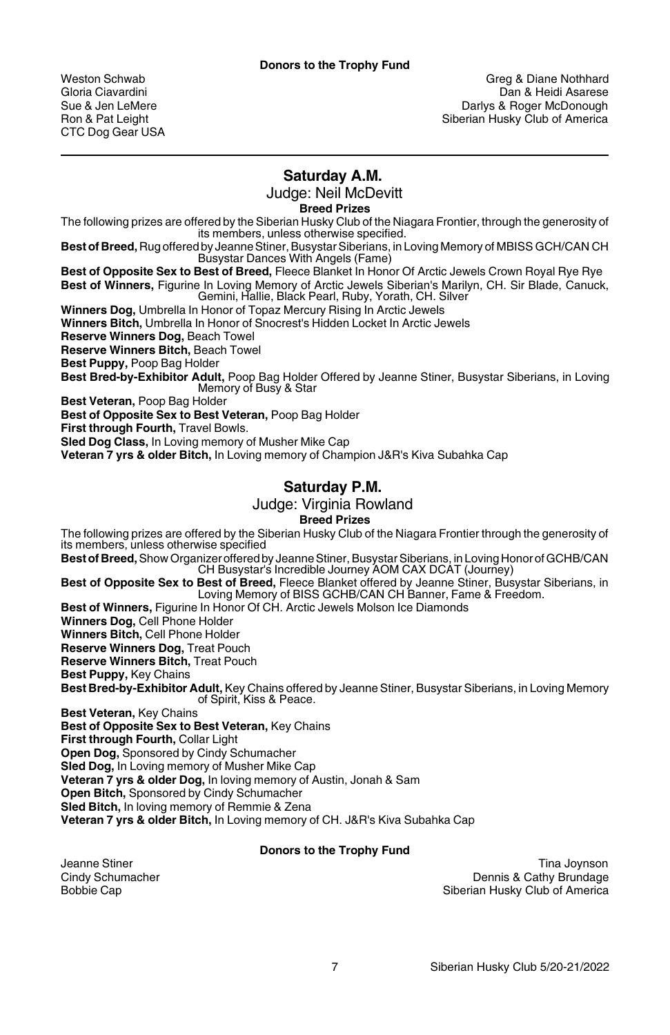CTC Dog Gear USA

weston Schwab Greg & Diane Nothhard<br>Gloria Ciavardini Gloria Capaca Greg & Diane Nothhard Gloria Ciavarese Gloria Ciavardini Dan & Heidi Asarese<br>Sue & Jen LeMere New South Dan Barlys & Roger McDonough Sue & Jen LeMere Darlys & Roger McDonough Siberian Husky Club of America

# **Saturday A.M.**

Judge: Neil McDevitt

**Breed Prizes**

The following prizes are offered by the Siberian Husky Club of the Niagara Frontier, through the generosity of its members, unless otherwise specified.

**Best of Breed,** Rug offered by Jeanne Stiner, Busystar Siberians, in Loving Memory of MBISS GCH/CAN CH Busystar Dances With Angels (Fame)

**Best of Opposite Sex to Best of Breed,** Fleece Blanket In Honor Of Arctic Jewels Crown Royal Rye Rye **Best of Winners,** Figurine In Loving Memory of Arctic Jewels Siberian's Marilyn, CH. Sir Blade, Canuck, Gemini, Hallie, Black Pearl, Ruby, Yorath, CH. Silver

**Winners Dog,** Umbrella In Honor of Topaz Mercury Rising In Arctic Jewels

**Winners Bitch,** Umbrella In Honor of Snocrest's Hidden Locket In Arctic Jewels

**Reserve Winners Dog,** Beach Towel

**Reserve Winners Bitch,** Beach Towel

**Best Puppy,** Poop Bag Holder

**Best Bred-by-Exhibitor Adult,** Poop Bag Holder Offered by Jeanne Stiner, Busystar Siberians, in Loving Memory of Busy & Star

**Best Veteran,** Poop Bag Holder

**Best of Opposite Sex to Best Veteran,** Poop Bag Holder

**First through Fourth,** Travel Bowls.

**Sled Dog Class,** In Loving memory of Musher Mike Cap

**Veteran 7 yrs & older Bitch,** In Loving memory of Champion J&R's Kiva Subahka Cap

# **Saturday P.M.**

Judge: Virginia Rowland

**Breed Prizes**

The following prizes are offered by the Siberian Husky Club of the Niagara Frontier through the generosity of its members, unless otherwise specified

**Best ofBreed,**Show Organizer offered by Jeanne Stiner, Busystar Siberians, in Loving Honor of GCHB/CAN CH Busystar's Incredible Journey AOM CAX DCAT (Journey)

**Best of Opposite Sex to Best of Breed,** Fleece Blanket offered by Jeanne Stiner, Busystar Siberians, in Loving Memory of BISS GCHB/CAN CH Banner, Fame & Freedom.

**Best of Winners,** Figurine In Honor Of CH. Arctic Jewels Molson Ice Diamonds

**Winners Dog,** Cell Phone Holder

**Winners Bitch,** Cell Phone Holder

**Reserve Winners Dog,** Treat Pouch

**Reserve Winners Bitch,** Treat Pouch

**Best Puppy,** Key Chains

**Best Bred-by-Exhibitor Adult,** Key Chains offered by Jeanne Stiner, Busystar Siberians, in Loving Memory of Spirit, Kiss & Peace.

**Best Veteran,** Key Chains

**Best of Opposite Sex to Best Veteran,** Key Chains

**First through Fourth,** Collar Light

**Open Dog,** Sponsored by Cindy Schumacher

**Sled Dog,** In Loving memory of Musher Mike Cap

**Veteran 7 yrs & older Dog,** In loving memory of Austin, Jonah & Sam

**Open Bitch,** Sponsored by Cindy Schumacher

**Sled Bitch,** In loving memory of Remmie & Zena

**Veteran 7 yrs & older Bitch,** In Loving memory of CH. J&R's Kiva Subahka Cap

#### **Donors to the Trophy Fund**

Jeanne Stiner Tina Joynson<br>Cindy Schumacher The Communication of the Communication of the Communication of the Communication of the Commu<br>Dennis & Cathy Brundage Cindy Schumacher Dennis & Cathy Brundage Siberian Husky Club of America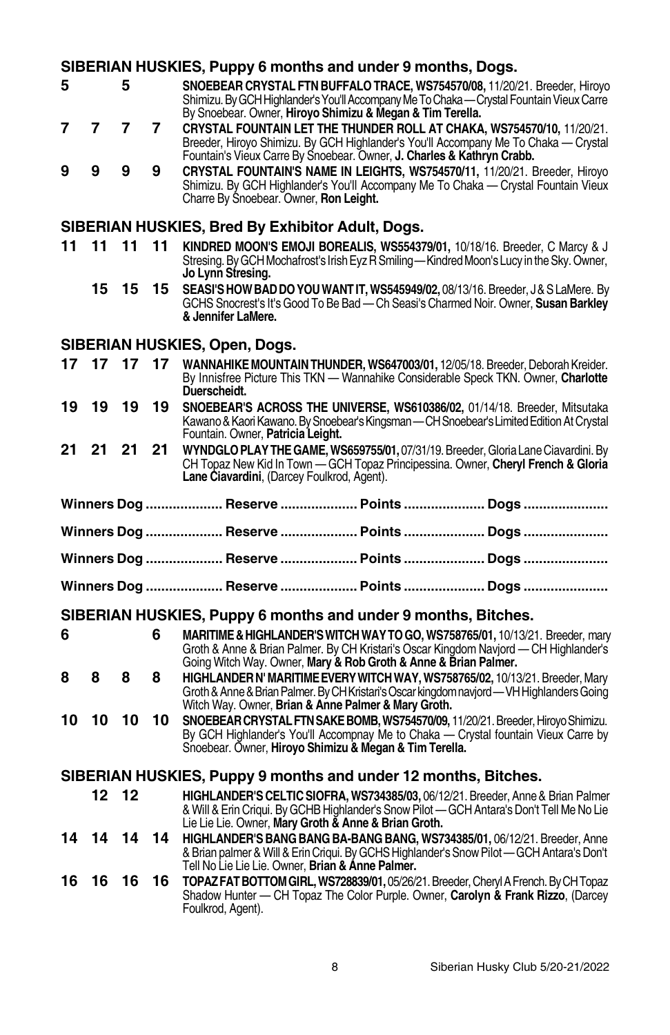# **SIBERIAN HUSKIES, Puppy 6 months and under 9 months, Dogs.**

- **5 5 SNOEBEARCRYSTAL FTNBUFFALOTRACE, WS754570/08,** 11/20/21. Breeder, Hiroyo Shimizu.ByGCHHighlander'sYou'llAccompanyMeToChaka—CrystalFountainVieuxCarre By Snoebear. Owner, **Hiroyo Shimizu & Megan & Tim Terella.**
- **7 7 7 7 CRYSTAL FOUNTAIN LET THE THUNDER ROLL AT CHAKA, WS754570/10,** 11/20/21. Breeder, Hiroyo Shimizu. By GCH Highlander's You'll Accompany Me To Chaka — Crystal Fountain's Vieux Carre By Snoebear. Owner, **J. Charles & Kathryn Crabb.**
- **9 9 9 9 CRYSTAL FOUNTAIN'S NAME IN LEIGHTS, WS754570/11,** 11/20/21. Breeder, Hiroyo Shimizu. By GCH Highlander's You'll Accompany Me To Chaka — Crystal Fountain Vieux Charre By Snoebear. Owner, **Ron Leight.**

#### **SIBERIAN HUSKIES, Bred By Exhibitor Adult, Dogs.**

- **11 11 11 11 KINDRED MOON'S EMOJI BOREALIS, WS554379/01,** 10/18/16. Breeder, C Marcy & J Stresing. By GCH Mochafrost's Irish Eyz R Smiling—Kindred Moon's Lucy in the Sky. Owner, **Jo Lynn Stresing.**
	- **15 15 15 SEASI'SHOWBADDOYOUWANTIT, WS545949/02,** 08/13/16. Breeder, J&SLaMere. By GCHS Snocrest's It'sGood To Be Bad — Ch Seasi'sCharmed Noir. Owner, **Susan Barkley & Jennifer LaMere.**

# **SIBERIAN HUSKIES, Open, Dogs.**

| 17 | 17 | 17    | 17 | WANNAHIKE MOUNTAIN THUNDER, WS647003/01, 12/05/18. Breeder, Deborah Kreider.<br>By Innisfree Picture This TKN — Wannahike Considerable Speck TKN, Owner, Charlotte                                                                        |  |
|----|----|-------|----|-------------------------------------------------------------------------------------------------------------------------------------------------------------------------------------------------------------------------------------------|--|
|    |    |       |    | Duerscheidt.                                                                                                                                                                                                                              |  |
| 19 | 19 | 19    | 19 | SNOEBEAR'S ACROSS THE UNIVERSE, WS610386/02, 01/14/18. Breeder, Mitsutaka<br>Kawano & Kaori Kawano. By Snoebear's Kingsman - CH Snoebear's Limited Edition At Crystal<br>Fountain. Owner, Patricia Leight.                                |  |
| 21 | 21 | 21 21 |    | WYNDGLO PLAY THE GAME, WS659755/01, 07/31/19. Breeder, Gloria Lane Ciavardini. By<br>CH Topaz New Kid In Town — GCH Topaz Principessina, Owner, Cheryl French & Gloria<br>Lane Ciavardini, (Darcey Foulkrod, Agent).                      |  |
|    |    |       |    |                                                                                                                                                                                                                                           |  |
|    |    |       |    | Winners Dog  Reserve  Points  Dogs                                                                                                                                                                                                        |  |
|    |    |       |    | Winners Dog  Reserve  Points  Dogs                                                                                                                                                                                                        |  |
|    |    |       |    | Winners Dog  Reserve  Points  Dogs                                                                                                                                                                                                        |  |
|    |    |       |    | Winners Dog  Reserve  Points  Dogs                                                                                                                                                                                                        |  |
|    |    |       |    | SIBERIAN HUSKIES, Puppy 6 months and under 9 months, Bitches.                                                                                                                                                                             |  |
| 6  |    |       | 6  |                                                                                                                                                                                                                                           |  |
|    |    |       |    | MARITIME & HIGHLANDER'S WITCH WAY TO GO, WS758765/01, 10/13/21. Breeder, mary<br>Groth & Anne & Brian Palmer. By CH Kristari's Oscar Kingdom Naviord - CH Highlander's<br>Going Witch Way. Owner, Mary & Rob Groth & Anne & Brian Palmer. |  |
| 8  | 8  | 8     | 8  | HIGHLANDER N' MARITIME EVERY WITCH WAY. WS758765/02. 10/13/21. Breeder. Mary                                                                                                                                                              |  |
|    |    |       |    | Groth & Anne & Brian Palmer. By CH Kristari's Oscar kingdom naviord - VH Highlanders Going<br>Witch Way. Owner, Brian & Anne Palmer & Mary Groth.                                                                                         |  |
| 10 | 10 | 10    | 10 | SNOEBEAR CRYSTAL FTN SAKE BOMB, WS754570/09, 11/20/21. Breeder, Hiroyo Shimizu.<br>By GCH Highlander's You'll Accompnay Me to Chaka — Crystal fountain Vieux Carre by                                                                     |  |
|    |    |       |    | Snoebear. Owner, Hiroyo Shimizu & Megan & Tim Terella.                                                                                                                                                                                    |  |
|    |    |       |    | SIBERIAN HUSKIES, Puppy 9 months and under 12 months, Bitches.                                                                                                                                                                            |  |
|    |    | 12 12 |    | <b>HIGHLANDER'S CELTIC SIOFRA, WS734385/03, 06/12/21. Breeder, Anne &amp; Brian Palmer</b>                                                                                                                                                |  |
|    |    |       |    | & Will & Erin Crigui. By GCHB Highlander's Snow Pilot - GCH Antara's Don't Tell Me No Lie<br>Lie Lie Lie. Owner, Mary Groth & Anne & Brian Groth.                                                                                         |  |
| 14 |    | 14 14 | 14 | HIGHLANDER'S BANG BANG BA-BANG BANG, WS734385/01, 06/12/21. Breeder, Anne                                                                                                                                                                 |  |
|    |    |       |    | & Brian palmer & Will & Erin Criqui. By GCHS Highlander's Snow Pilot - GCH Antara's Don't<br>Tell No Lie Lie Lie. Owner. Brian & Anne Palmer.                                                                                             |  |
| 16 | 16 | 16    | 16 | TOPAZ FAT BOTTOM GIRL, WS728839/01, 05/26/21. Breeder, Cheryl A French. By CH Topaz                                                                                                                                                       |  |
|    |    |       |    | Shadow Hunter - CH Topaz The Color Purple. Owner, Carolyn & Frank Rizzo, (Darcey<br>Foulkrod, Agent).                                                                                                                                     |  |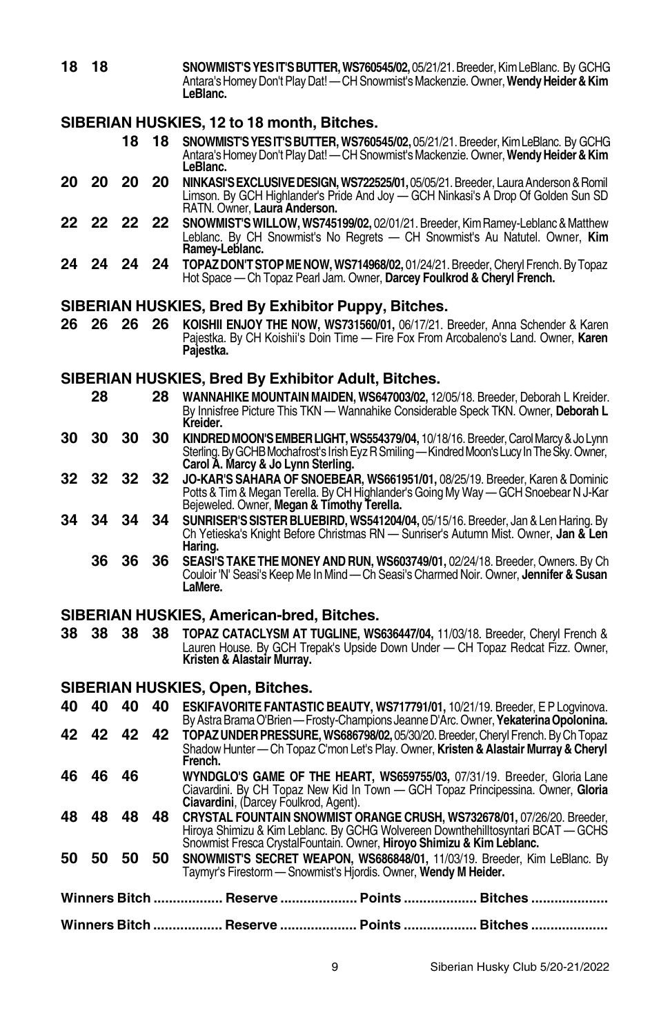**18 18 SNOWMIST'SYESIT'SBUTTER,WS760545/02,** 05/21/21.Breeder, KimLeBlanc. By GCHG Antara'sHomeyDon't PlayDat! —CHSnowmist'sMackenzie. Owner,**WendyHeider&Kim LeBlanc.**

# **SIBERIAN HUSKIES, 12 to 18 month, Bitches.**

- **18 18 SNOWMIST'SYESIT'SBUTTER, WS760545/02,** 05/21/21. Breeder, KimLeBlanc. By GCHG Antara'sHomeyDon't PlayDat! —CHSnowmist'sMackenzie. Owner,**WendyHeider&Kim LeBlanc.**
- **20 20 20 20 NINKASI'SEXCLUSIVEDESIGN,WS722525/01,**05/05/21.Breeder, LauraAnderson&Romil Limson. By GCH Highlander's Pride And Joy — GCH Ninkasi's A Drop Of Golden Sun SD RATN. Owner, **Laura Anderson.**
- **22 22 22 22 SNOWMIST'SWILLOW, WS745199/02,** 02/01/21. Breeder, KimRamey-Leblanc&Matthew Leblanc. By CH Snowmist's No Regrets — CH Snowmist's Au Natutel. Owner, **Kim Ramey-Leblanc.**
- **24 24 24 24 TOPAZDON'TSTOPMENOW, WS714968/02,** 01/24/21.Breeder, Cheryl French. ByTopaz Hot Space — Ch Topaz Pearl Jam. Owner, **Darcey Foulkrod & Cheryl French.**

#### **SIBERIAN HUSKIES, Bred By Exhibitor Puppy, Bitches.**

**26 26 26 26 KOISHII ENJOY THE NOW, WS731560/01,** 06/17/21. Breeder, Anna Schender & Karen Pajestka. By CH Koishii's Doin Time — Fire Fox From Arcobaleno's Land. Owner, **Karen Pajestka.**

#### **SIBERIAN HUSKIES, Bred By Exhibitor Adult, Bitches.**

- **28 28 WANNAHIKEMOUNTAINMAIDEN, WS647003/02,** 12/05/18. Breeder, Deborah L Kreider. By Innisfree Picture This TKN — Wannahike Considerable Speck TKN. Owner, **Deborah L Kreider.**
- **30 30 30 30 KINDREDMOON'SEMBERLIGHT,WS554379/04,** 10/18/16. Breeder,CarolMarcy&JoLynn Sterling. By GCHB Mochafrost's Irish Eyz R Smiling—Kindred Moon's Lucy In The Sky. Owner, **Carol A. Marcy & Jo Lynn Sterling.**
- **32 32 32 32 JO-KAR'S SAHARA OF SNOEBEAR, WS661951/01,** 08/25/19. Breeder, Karen & Dominic Potts & Tim & Megan Terella. By CH Highlander's Going My Way - GCH Snoebear N J-Kar Bejeweled. Owner, **Megan & Timothy Terella.**
- **34 34 34 34 SUNRISER'SSISTERBLUEBIRD, WS541204/04,** 05/15/16. Breeder, Jan & LenHaring. By Ch Yetieska's Knight Before Christmas RN — Sunriser's Autumn Mist. Owner, **Jan & Len Haring.**
	- **36 36 36 SEASI'S TAKE THEMONEYANDRUN, WS603749/01,** 02/24/18. Breeder, Owners. By Ch Couloir 'N' Seasi's KeepMe InMind —Ch Seasi's Charmed Noir. Owner, **Jennifer & Susan LaMere.**

## **SIBERIAN HUSKIES, American-bred, Bitches.**

**38 38 38 38 TOPAZ CATACLYSM AT TUGLINE, WS636447/04,** 11/03/18. Breeder, Cheryl French & Lauren House. By GCH Trepak's Upside Down Under — CH Topaz Redcat Fizz. Owner, **Kristen & Alastair Murray.**

# **SIBERIAN HUSKIES, Open, Bitches.**

|     |       |    |       | Winners Bitch  Reserve  Points  Bitches                                                                                                                                                               |  |
|-----|-------|----|-------|-------------------------------------------------------------------------------------------------------------------------------------------------------------------------------------------------------|--|
|     |       |    |       | Winners Bitch ……………… Reserve ………………… Points ………………… Bitches …………………                                                                                                                                   |  |
| 50  | 50    | 50 | 50    | SNOWMIST'S SECRET WEAPON, WS686848/01, 11/03/19. Breeder, Kim LeBlanc. By<br>Taymyr's Firestorm - Snowmist's Hiordis. Owner, Wendy M Heider.                                                          |  |
|     |       |    |       | Hiroya Shimizu & Kim Leblanc. By GCHG Wolvereen Downthehilltosyntari BCAT - GCHS<br>Snowmist Fresca CrystalFountain. Owner, Hiroyo Shimizu & Kim Leblanc.                                             |  |
| 48. | 48    | 48 | 48.   | CRYSTAL FOUNTAIN SNOWMIST ORANGE CRUSH, WS732678/01, 07/26/20, Breeder.                                                                                                                               |  |
| 46. | 46    | 46 |       | WYNDGLO'S GAME OF THE HEART, WS659755/03, 07/31/19. Breeder, Gloria Lane<br>Ciavardini. By CH Topaz New Kid In Town - GCH Topaz Principessina. Owner, Gloria<br>Ciavardini, (Darcey Foulkrod, Agent). |  |
|     |       |    |       | TOPAZ UNDER PRESSURE, WS686798/02, 05/30/20. Breeder, Cheryl French. By Ch Topaz<br>Shadow Hunter — Ch Topaz C'mon Let's Play. Owner, Kristen & Alastair Murray & Cheryl<br>French.                   |  |
|     | 42 42 |    | 42 42 | By Astra Brama O'Brien — Frosty-Champions Jeanne D'Arc. Owner, Yekaterina Opolonina.                                                                                                                  |  |
| 40  | 40    | 40 | 40    | ESKIFAVORITE FANTASTIC BEAUTY, WS717791/01, 10/21/19. Breeder, E P Logvinova.                                                                                                                         |  |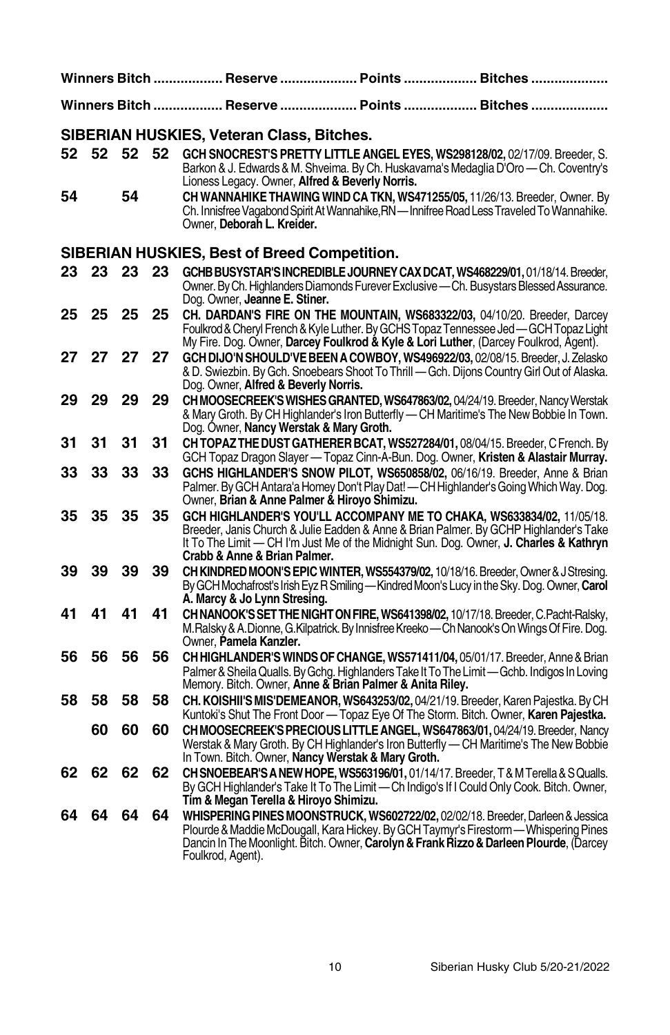|    |    |    |    | Winners Bitch ……………… Reserve ………………… Points ………………… Bitches …………………                                                                                                                                                                                                                                            |
|----|----|----|----|----------------------------------------------------------------------------------------------------------------------------------------------------------------------------------------------------------------------------------------------------------------------------------------------------------------|
|    |    |    |    | Winners Bitch ……………… Reserve ………………… Points ………………… Bitches …………                                                                                                                                                                                                                                               |
|    |    |    |    | SIBERIAN HUSKIES, Veteran Class, Bitches.                                                                                                                                                                                                                                                                      |
| 52 | 52 | 52 | 52 | GCH SNOCREST'S PRETTY LITTLE ANGEL EYES, WS298128/02, 02/17/09. Breeder, S.<br>Barkon & J. Edwards & M. Shveima. By Ch. Huskavarna's Medaglia D'Oro - Ch. Coventry's<br>Lioness Legacy. Owner, Alfred & Beverly Norris.                                                                                        |
| 54 |    | 54 |    | CH WANNAHIKE THAWING WIND CA TKN, WS471255/05, 11/26/13. Breeder, Owner. By<br>Ch. Innisfree Vagabond Spirit At Wannahike, RN — Innifree Road Less Traveled To Wannahike.<br>Owner, <b>Deborah L. Kreider.</b>                                                                                                 |
|    |    |    |    | SIBERIAN HUSKIES, Best of Breed Competition.                                                                                                                                                                                                                                                                   |
| 23 | 23 | 23 | 23 | GCHB BUSYSTAR'S INCREDIBLE JOURNEY CAX DCAT, WS468229/01, 01/18/14. Breeder,<br>Owner. By Ch. Highlanders Diamonds Furever Exclusive - Ch. Busystars Blessed Assurance.<br>Dog. Owner, Jeanne E. Stiner.                                                                                                       |
| 25 | 25 | 25 | 25 | CH. DARDAN'S FIRE ON THE MOUNTAIN, WS683322/03, 04/10/20. Breeder, Darcey<br>Foulkrod & Cheryl French & Kyle Luther. By GCHS Topaz Tennessee Jed — GCH Topaz Light<br>My Fire. Dog. Owner, Darcey Foulkrod & Kyle & Lori Luther, (Darcey Foulkrod, Agent).                                                     |
| 27 | 27 | 27 | 27 | GCH DIJO'N SHOULD'VE BEEN A COWBOY, WS496922/03, 02/08/15. Breeder, J. Zelasko<br>& D. Swiezbin. By Gch. Snoebears Shoot To Thrill - Gch. Dijons Country Girl Out of Alaska.<br>Dog. Owner, Alfred & Beverly Norris.                                                                                           |
| 29 | 29 | 29 | 29 | CH MOOSECREEK'S WISHES GRANTED, WS647863/02, 04/24/19. Breeder, Nancy Werstak<br>& Mary Groth. By CH Highlander's Iron Butterfly — CH Maritime's The New Bobbie In Town.<br>Dog. Owner, Nancy Werstak & Mary Groth.                                                                                            |
| 31 | 31 | 31 | 31 | CH TOPAZ THE DUST GATHERER BCAT, WS527284/01, 08/04/15. Breeder, C French. By<br>GCH Topaz Dragon Slayer — Topaz Cinn-A-Bun. Dog. Owner, Kristen & Alastair Murray.                                                                                                                                            |
| 33 | 33 | 33 | 33 | GCHS HIGHLANDER'S SNOW PILOT, WS650858/02, 06/16/19. Breeder, Anne & Brian<br>Palmer. By GCH Antara'a Homey Don't Play Dat! — CH Highlander's Going Which Way. Dog.<br>Owner, Brian & Anne Palmer & Hiroyo Shimizu.                                                                                            |
| 35 | 35 | 35 | 35 | GCH HIGHLANDER'S YOU'LL ACCOMPANY ME TO CHAKA, WS633834/02, 11/05/18.<br>Breeder, Janis Church & Julie Eadden & Anne & Brian Palmer. By GCHP Highlander's Take<br>It To The Limit — CH I'm Just Me of the Midnight Sun. Dog. Owner, J. Charles & Kathryn<br>Crabb & Anne & Brian Palmer.                       |
| 39 | 39 | 39 | 39 | CH KINDRED MOON'S EPIC WINTER, WS554379/02, 10/18/16. Breeder, Owner & J Stresing.<br>By GCH Mochafrost's Irish Eyz R Smiling - Kindred Moon's Lucy in the Sky. Dog. Owner, Carol<br>A. Marcy & Jo Lynn Stresing.                                                                                              |
| 41 | 41 | 41 | 41 | CH NANOOK'S SET THE NIGHT ON FIRE, WS641398/02, 10/17/18. Breeder, C.Pacht-Ralsky,<br>M.Ralsky & A.Dionne, G.Kilpatrick. By Innisfree Kreeko - Ch Nanook's On Wings Of Fire. Dog.<br>Owner, Pamela Kanzler.                                                                                                    |
| 56 | 56 | 56 | 56 | CH HIGHLANDER'S WINDS OF CHANGE, WS571411/04, 05/01/17. Breeder, Anne & Brian<br>Palmer & Sheila Qualls. By Gchg. Highlanders Take It To The Limit - Gchb. Indigos In Loving<br>Memory. Bitch. Owner, Anne & Brian Palmer & Anita Riley.                                                                       |
| 58 | 58 | 58 | 58 | CH. KOISHII'S MIS'DEMEANOR, WS643253/02, 04/21/19. Breeder, Karen Pajestka. By CH<br>Kuntoki's Shut The Front Door — Topaz Eye Of The Storm. Bitch. Owner, Karen Pajestka.                                                                                                                                     |
|    | 60 | 60 | 60 | CH MOOSECREEK'S PRECIOUS LITTLE ANGEL, WS647863/01, 04/24/19. Breeder, Nancy<br>Werstak & Mary Groth. By CH Highlander's Iron Butterfly — CH Maritime's The New Bobbie<br>In Town. Bitch. Owner, Nancy Werstak & Mary Groth.                                                                                   |
| 62 | 62 | 62 | 62 | <b>CH SNOEBEAR'S A NEW HOPE, WS563196/01, 01/14/17. Breeder, T &amp; M Terella &amp; S Qualls.</b><br>By GCH Highlander's Take It To The Limit — Ch Indigo's If I Could Only Cook. Bitch. Owner,<br>Tim & Megan Terella & Hiroyo Shimizu.                                                                      |
| 64 | 64 | 64 | 64 | <b>WHISPERING PINES MOONSTRUCK, WS602722/02,</b> 02/02/18. Breeder, Darleen & Jessica<br>Plourde & Maddie McDougall, Kara Hickey. By GCH Taymyr's Firestorm - Whispering Pines<br>Dancin In The Moonlight. Bitch. Owner, <b>Carolyn &amp; Frank Rizzo &amp; Darleen Plourde</b> , (Darcey<br>Foulkrod, Agent). |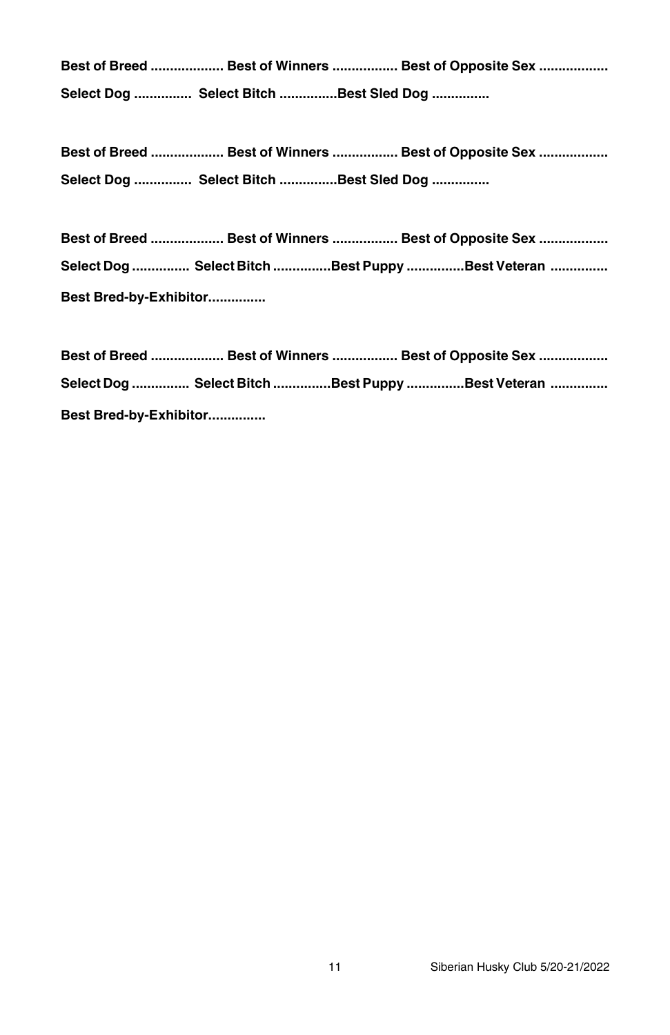**Best of Breed ................... Best of Winners ................. Best of Opposite Sex .................. Select Dog ............... Select Bitch ...............Best Sled Dog ...............**

**Best of Breed ................... Best of Winners ................. Best of Opposite Sex .................. Select Dog ............... Select Bitch ...............Best Sled Dog ...............**

|                        |  | Best of Breed  Best of Winners  Best of Opposite Sex                  |  |  |
|------------------------|--|-----------------------------------------------------------------------|--|--|
|                        |  | Select Dog …………… Select Bitch ……………Best Puppy ……………Best Veteran …………… |  |  |
| Best Bred-by-Exhibitor |  |                                                                       |  |  |

|                        |  | Best of Breed ………………… Best of Winners ……………… Best of Opposite Sex ……………… |  |
|------------------------|--|--------------------------------------------------------------------------|--|
|                        |  | Select Dog …………… Select Bitch ……………Best Puppy ……………Best Veteran ……………    |  |
| Best Bred-by-Exhibitor |  |                                                                          |  |